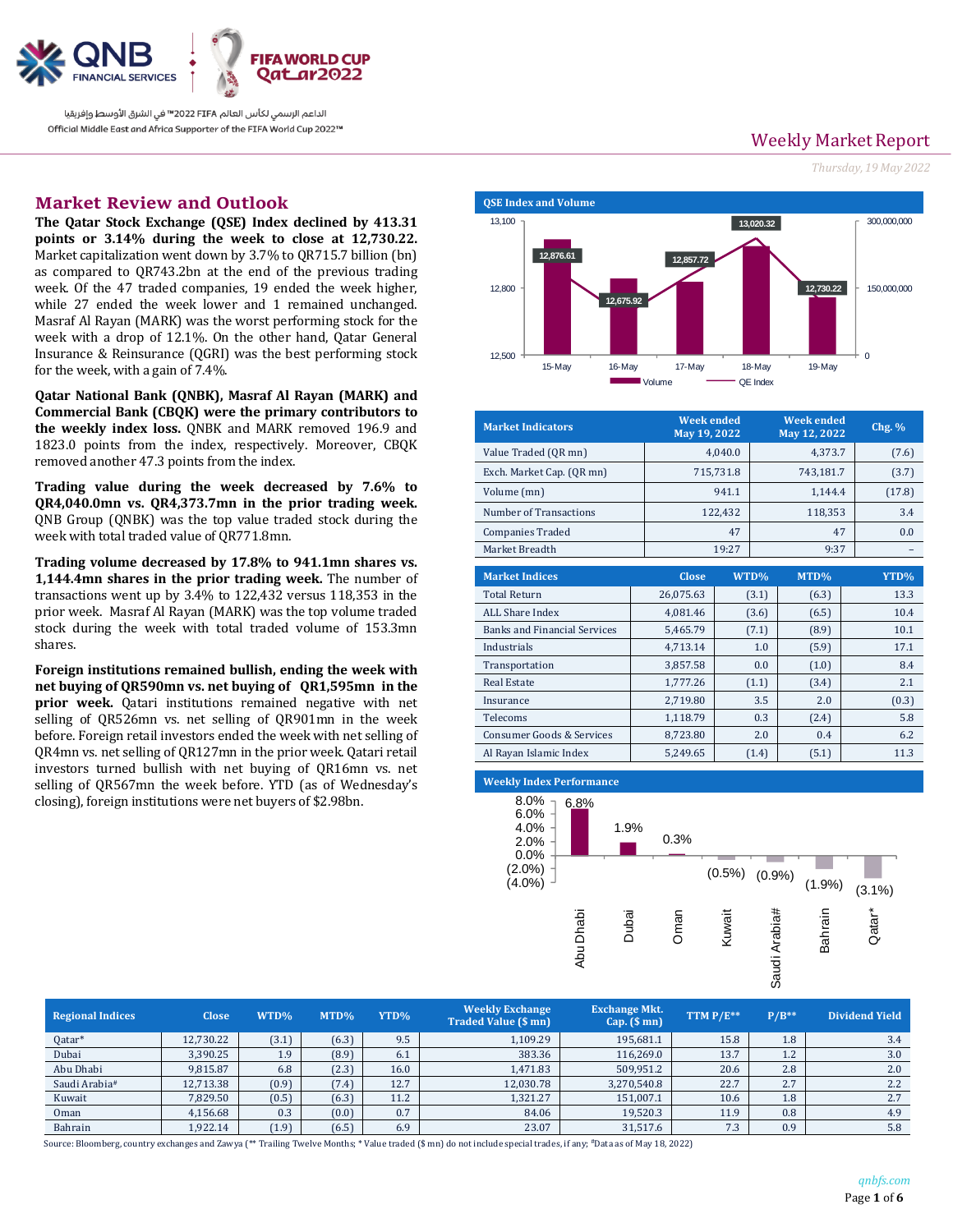

الداعم الرسمي لكأس العالم 2022 FIFA™ في الشرق الأوسط وإفريقيا Official Middle East and Africa Supporter of the FIFA World Cup 2022™

# **Market Review and Outlook CONSCRIPTION QSE Index and Volume**

**The Qatar Stock Exchange (QSE) Index declined by 413.31 points or 3.14% during the week to close at 12,730.22.** Market capitalization went down by 3.7% to QR715.7 billion (bn) as compared to QR743.2bn at the end of the previous trading week. Of the 47 traded companies, 19 ended the week higher, while 27 ended the week lower and 1 remained unchanged. Masraf Al Rayan (MARK) was the worst performing stock for the week with a drop of 12.1%. On the other hand, Qatar General Insurance & Reinsurance (QGRI) was the best performing stock for the week, with a gain of 7.4%.

**Qatar National Bank (QNBK), Masraf Al Rayan (MARK) and Commercial Bank (CBQK) were the primary contributors to the weekly index loss.** QNBK and MARK removed 196.9 and 1823.0 points from the index, respectively. Moreover, CBQK removed another 47.3 points from the index.

**Trading value during the week decreased by 7.6% to QR4,040.0mn vs. QR4,373.7mn in the prior trading week.** QNB Group (QNBK) was the top value traded stock during the week with total traded value of QR771.8mn.

**Trading volume decreased by 17.8% to 941.1mn shares vs. 1,144.4mn shares in the prior trading week.** The number of transactions went up by 3.4% to 122,432 versus 118,353 in the prior week. Masraf Al Rayan (MARK) was the top volume traded stock during the week with total traded volume of 153.3mn shares.

**Foreign institutions remained bullish, ending the week with net buying of QR590mn vs. net buying of QR1,595mn in the prior week.** Qatari institutions remained negative with net selling of QR526mn vs. net selling of QR901mn in the week before. Foreign retail investors ended the week with net selling of QR4mn vs. net selling of QR127mn in the prior week. Qatari retail investors turned bullish with net buying of QR16mn vs. net selling of QR567mn the week before. YTD (as of Wednesday's closing), foreign institutions were net buyers of \$2.98bn.

Weekly Market Report

*Thursday, 19 May 2022*



| <b>Market Indicators</b>  | <b>Week ended</b><br>May 19, 2022 | <b>Week ended</b><br>May 12, 2022 | $Chg.$ % |
|---------------------------|-----------------------------------|-----------------------------------|----------|
| Value Traded (OR mn)      | 4.040.0                           | 4.373.7                           | (7.6)    |
| Exch. Market Cap. (QR mn) | 715,731.8                         | 743,181.7                         | (3.7)    |
| Volume (mn)               | 941.1                             | 1.144.4                           | (17.8)   |
| Number of Transactions    | 122.432                           | 118,353                           | 3.4      |
| <b>Companies Traded</b>   | 47                                | 47                                | 0.0      |
| Market Breadth            | 19:27                             | 9:37                              |          |

| <b>Market Indices</b>               | <b>Close</b> | WTD%  | MTD%  | YTD%  |
|-------------------------------------|--------------|-------|-------|-------|
| <b>Total Return</b>                 | 26,075.63    | (3.1) | (6.3) | 13.3  |
| ALL Share Index                     | 4,081.46     | (3.6) | (6.5) | 10.4  |
| <b>Banks and Financial Services</b> | 5,465.79     | (7.1) | (8.9) | 10.1  |
| Industrials                         | 4,713.14     | 1.0   | (5.9) | 17.1  |
| Transportation                      | 3,857.58     | 0.0   | (1.0) | 8.4   |
| <b>Real Estate</b>                  | 1,777.26     | (1.1) | (3.4) | 2.1   |
| Insurance                           | 2,719.80     | 3.5   | 2.0   | (0.3) |
| Telecoms                            | 1.118.79     | 0.3   | (2.4) | 5.8   |
| Consumer Goods & Services           | 8.723.80     | 2.0   | 0.4   | 6.2   |
| Al Rayan Islamic Index              | 5.249.65     | (1.4) | (5.1) | 11.3  |

#### **Weekly Index Performance**



| <b>Regional Indices</b> | <b>Close</b> | $WTD\%$          | $MTD\%$ | YTD% | <b>Weekly Exchange</b><br><b>Traded Value (\$ mn)</b> | <b>Exchange Mkt.</b><br>$Cap.$ (\$ mn) | TTM $P/E^{**}$ | $P/B**$ | <b>Dividend Yield</b> |
|-------------------------|--------------|------------------|---------|------|-------------------------------------------------------|----------------------------------------|----------------|---------|-----------------------|
| Qatar*                  | 12,730.22    | (3.1)            | (6.3)   | 9.5  | 1,109.29                                              | 195,681.1                              | 15.8           | 1.8     | 3.4                   |
| Dubai                   | 3.390.25     | 1.9 <sup>°</sup> | (8.9)   | 6.1  | 383.36                                                | 116,269.0                              | 13.7           | 1.2     | 3.0                   |
| Abu Dhabi               | 9,815.87     | 6.8              | (2.3)   | 16.0 | 1.471.83                                              | 509,951.2                              | 20.6           | 2.8     | 2.0                   |
| Saudi Arabia#           | 12,713.38    | (0.9)            | (7.4)   | 12.7 | 12,030.78                                             | 3,270,540.8                            | 22.7           | 2.7     | 2.2                   |
| Kuwait                  | 7,829.50     | (0.5)            | (6.3)   | 11.2 | 1,321.27                                              | 151,007.1                              | 10.6           | 1.8     | 2.7                   |
| Oman                    | 4,156.68     | 0.3              | (0.0)   | 0.7  | 84.06                                                 | 19,520.3                               | 11.9           | 0.8     | 4.9                   |
| Bahrain                 | 1,922.14     | (1.9)            | (6.5)   | 6.9  | 23.07                                                 | 31,517.6                               | 7.3            | 0.9     | 5.8                   |

Source: Bloomberg, country exchanges and Zawya (\*\* Trailing Twelve Months; \* Value traded (\$ mn) do not include special trades, if any; #Data as of May 18, 2022)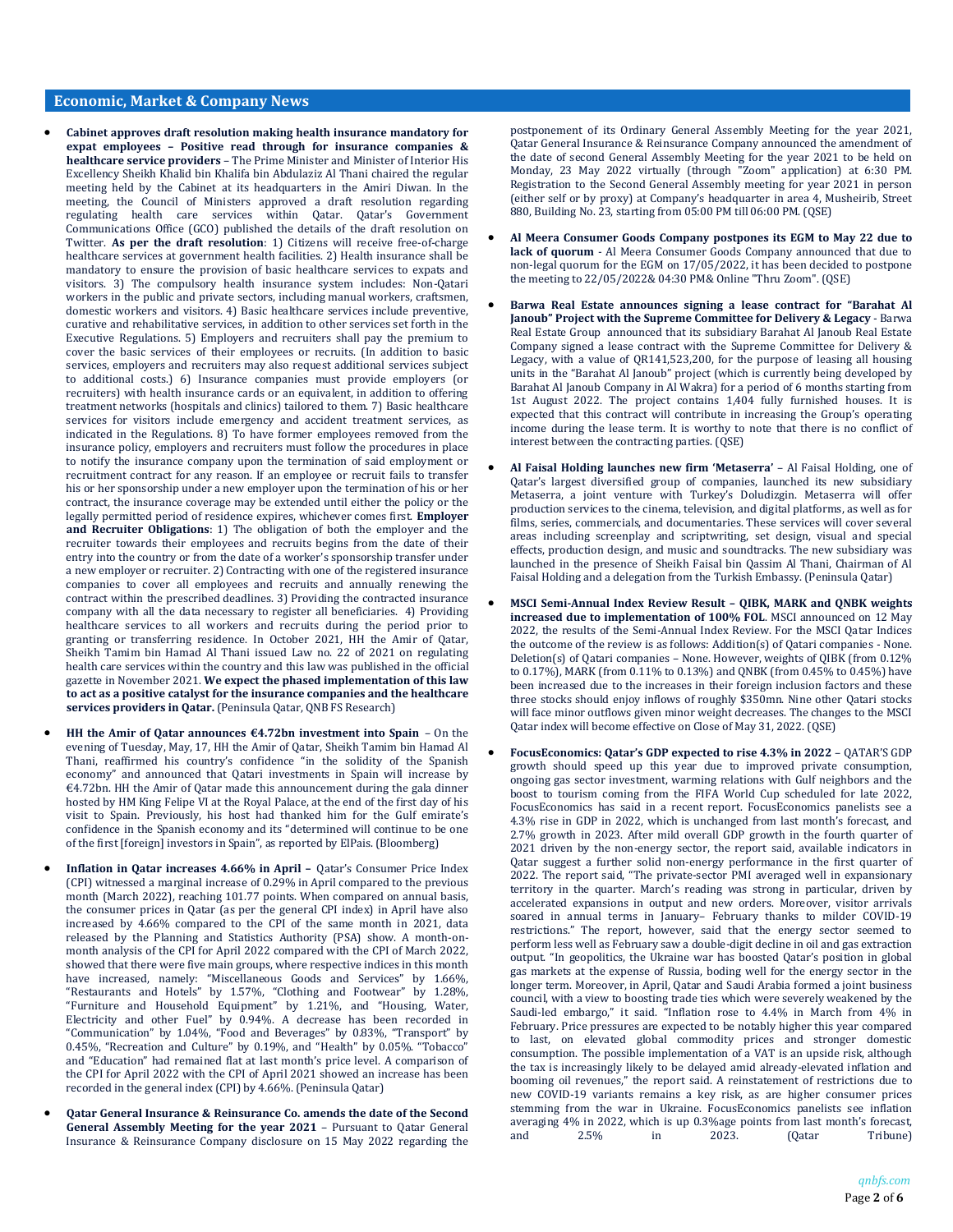### **Economic, Market & Company News**

- **Cabinet approves draft resolution making health insurance mandatory for expat employees – Positive read through for insurance companies & healthcare service providers** – The Prime Minister and Minister of Interior His Excellency Sheikh Khalid bin Khalifa bin Abdulaziz Al Thani chaired the regular meeting held by the Cabinet at its headquarters in the Amiri Diwan. In the meeting, the Council of Ministers approved a draft resolution regarding regulating health care services within Qatar. Qatar's Government Communications Office (GCO) published the details of the draft resolution on Twitter. **As per the draft resolution**: 1) Citizens will receive free-of-charge healthcare services at government health facilities. 2) Health insurance shall be mandatory to ensure the provision of basic healthcare services to expats and visitors. 3) The compulsory health insurance system includes: Non-Qatari workers in the public and private sectors, including manual workers, craftsmen, domestic workers and visitors. 4) Basic healthcare services include preventive, curative and rehabilitative services, in addition to other services set forth in the Executive Regulations. 5) Employers and recruiters shall pay the premium to cover the basic services of their employees or recruits. (In addition to basic services, employers and recruiters may also request additional services subject to additional costs.) 6) Insurance companies must provide employers (or recruiters) with health insurance cards or an equivalent, in addition to offering treatment networks (hospitals and clinics) tailored to them. 7) Basic healthcare services for visitors include emergency and accident treatment services, as indicated in the Regulations. 8) To have former employees removed from the insurance policy, employers and recruiters must follow the procedures in place to notify the insurance company upon the termination of said employment or recruitment contract for any reason. If an employee or recruit fails to transfer his or her sponsorship under a new employer upon the termination of his or her contract, the insurance coverage may be extended until either the policy or the legally permitted period of residence expires, whichever comes first. **Employer and Recruiter Obligations**: 1) The obligation of both the employer and the recruiter towards their employees and recruits begins from the date of their entry into the country or from the date of a worker's sponsorship transfer under a new employer or recruiter. 2) Contracting with one of the registered insurance companies to cover all employees and recruits and annually renewing the contract within the prescribed deadlines. 3) Providing the contracted insurance company with all the data necessary to register all beneficiaries. 4) Providing healthcare services to all workers and recruits during the period prior to granting or transferring residence. In October 2021, HH the Amir of Qatar, Sheikh Tamim bin Hamad Al Thani issued Law no. 22 of 2021 on regulating health care services within the country and this law was published in the official gazette in November 2021. **We expect the phased implementation of this law to act as a positive catalyst for the insurance companies and the healthcare services providers in Qatar.** (Peninsula Qatar, QNB FS Research)
- **HH the Amir of Qatar announces €4.72bn investment into Spain** On the evening of Tuesday, May, 17, HH the Amir of Qatar, Sheikh Tamim bin Hamad Al Thani, reaffirmed his country's confidence "in the solidity of the Spanish economy" and announced that Qatari investments in Spain will increase by €4.72bn. HH the Amir of Qatar made this announcement during the gala dinner hosted by HM King Felipe VI at the Royal Palace, at the end of the first day of his visit to Spain. Previously, his host had thanked him for the Gulf emirate's confidence in the Spanish economy and its "determined will continue to be one of the first [foreign] investors in Spain", as reported by ElPais. (Bloomberg)
- **Inflation in Qatar increases 4.66% in April –** Qatar's Consumer Price Index (CPI) witnessed a marginal increase of 0.29% in April compared to the previous month (March 2022), reaching 101.77 points. When compared on annual basis, the consumer prices in Qatar (as per the general CPI index) in April have also increased by 4.66% compared to the CPI of the same month in 2021, data released by the Planning and Statistics Authority (PSA) show. A month-onmonth analysis of the CPI for April 2022 compared with the CPI of March 2022, showed that there were five main groups, where respective indices in this month have increased, namely: "Miscellaneous Goods and Services" by 1.66%, "Restaurants and Hotels" by 1.57%, "Clothing and Footwear" by 1.28%, "Furniture and Household Equipment" by 1.21%, and "Housing, Water, Electricity and other Fuel" by 0.94%. A decrease has been recorded in "Communication" by 1.04%, "Food and Beverages" by 0.83%, "Transport" by 0.45%, "Recreation and Culture" by 0.19%, and "Health" by 0.05%. "Tobacco" and "Education" had remained flat at last month's price level. A comparison of the CPI for April 2022 with the CPI of April 2021 showed an increase has been recorded in the general index (CPI) by 4.66%. (Peninsula Qatar)
- **Qatar General Insurance & Reinsurance Co. amends the date of the Second General Assembly Meeting for the year 2021** – Pursuant to Qatar General Insurance & Reinsurance Company disclosure on 15 May 2022 regarding the

postponement of its Ordinary General Assembly Meeting for the year 2021, Qatar General Insurance & Reinsurance Company announced the amendment of the date of second General Assembly Meeting for the year 2021 to be held on Monday, 23 May 2022 virtually (through "Zoom" application) at 6:30 PM. Registration to the Second General Assembly meeting for year 2021 in person (either self or by proxy) at Company's headquarter in area 4, Musheirib, Street 880, Building No. 23, starting from 05:00 PM till 06:00 PM. (QSE)

- **Al Meera Consumer Goods Company postpones its EGM to May 22 due to lack of quorum** - Al Meera Consumer Goods Company announced that due to non-legal quorum for the EGM on 17/05/2022, it has been decided to postpone the meeting to 22/05/2022& 04:30 PM& Online "Thru Zoom". (QSE)
- **Barwa Real Estate announces signing a lease contract for "Barahat Al Janoub" Project with the Supreme Committee for Delivery & Legacy** - Barwa Real Estate Group announced that its subsidiary Barahat Al Janoub Real Estate Company signed a lease contract with the Supreme Committee for Delivery & Legacy, with a value of QR141,523,200, for the purpose of leasing all housing units in the "Barahat Al Janoub" project (which is currently being developed by Barahat Al Janoub Company in Al Wakra) for a period of 6 months starting from 1st August 2022. The project contains 1,404 fully furnished houses. It is expected that this contract will contribute in increasing the Group's operating income during the lease term. It is worthy to note that there is no conflict of interest between the contracting parties. (QSE)
- **Al Faisal Holding launches new firm 'Metaserra'** Al Faisal Holding, one of Qatar's largest diversified group of companies, launched its new subsidiary Metaserra, a joint venture with Turkey's Doludizgin. Metaserra will offer production services to the cinema, television, and digital platforms, as well as for films, series, commercials, and documentaries. These services will cover several areas including screenplay and scriptwriting, set design, visual and special effects, production design, and music and soundtracks. The new subsidiary was launched in the presence of Sheikh Faisal bin Qassim Al Thani, Chairman of Al Faisal Holding and a delegation from the Turkish Embassy. (Peninsula Qatar)
- **MSCI Semi-Annual Index Review Result – QIBK, MARK and QNBK weights increased due to implementation of 100% FOL**. MSCI announced on 12 May 2022, the results of the Semi-Annual Index Review. For the MSCI Qatar Indices the outcome of the review is as follows: Addition(s) of Qatari companies - None. Deletion(s) of Qatari companies – None. However, weights of QIBK (from 0.12% to 0.17%), MARK (from 0.11% to 0.13%) and QNBK (from 0.45% to 0.45%) have been increased due to the increases in their foreign inclusion factors and these three stocks should enjoy inflows of roughly \$350mn. Nine other Qatari stocks will face minor outflows given minor weight decreases. The changes to the MSCI Qatar index will become effective on Close of May 31, 2022. (QSE)
- **FocusEconomics: Qatar's GDP expected to rise 4.3% in 2022** QATAR'S GDP growth should speed up this year due to improved private consumption, ongoing gas sector investment, warming relations with Gulf neighbors and the boost to tourism coming from the FIFA World Cup scheduled for late 2022, FocusEconomics has said in a recent report. FocusEconomics panelists see a 4.3% rise in GDP in 2022, which is unchanged from last month's forecast, and 2.7% growth in 2023. After mild overall GDP growth in the fourth quarter of 2021 driven by the non-energy sector, the report said, available indicators in Qatar suggest a further solid non-energy performance in the first quarter of 2022. The report said, "The private-sector PMI averaged well in expansionary territory in the quarter. March's reading was strong in particular, driven by accelerated expansions in output and new orders. Moreover, visitor arrivals soared in annual terms in January– February thanks to milder COVID-19 restrictions." The report, however, said that the energy sector seemed to perform less well as February saw a double-digit decline in oil and gas extraction output. "In geopolitics, the Ukraine war has boosted Qatar's position in global gas markets at the expense of Russia, boding well for the energy sector in the longer term. Moreover, in April, Qatar and Saudi Arabia formed a joint business council, with a view to boosting trade ties which were severely weakened by the Saudi-led embargo," it said. "Inflation rose to 4.4% in March from 4% in February. Price pressures are expected to be notably higher this year compared to last, on elevated global commodity prices and stronger domestic consumption. The possible implementation of a VAT is an upside risk, although the tax is increasingly likely to be delayed amid already-elevated inflation and booming oil revenues," the report said. A reinstatement of restrictions due to new COVID-19 variants remains a key risk, as are higher consumer prices stemming from the war in Ukraine. FocusEconomics panelists see inflation averaging 4% in 2022, which is up 0.3%age points from last month's forecast, and 2.5% in 2023. (Qatar Tribune)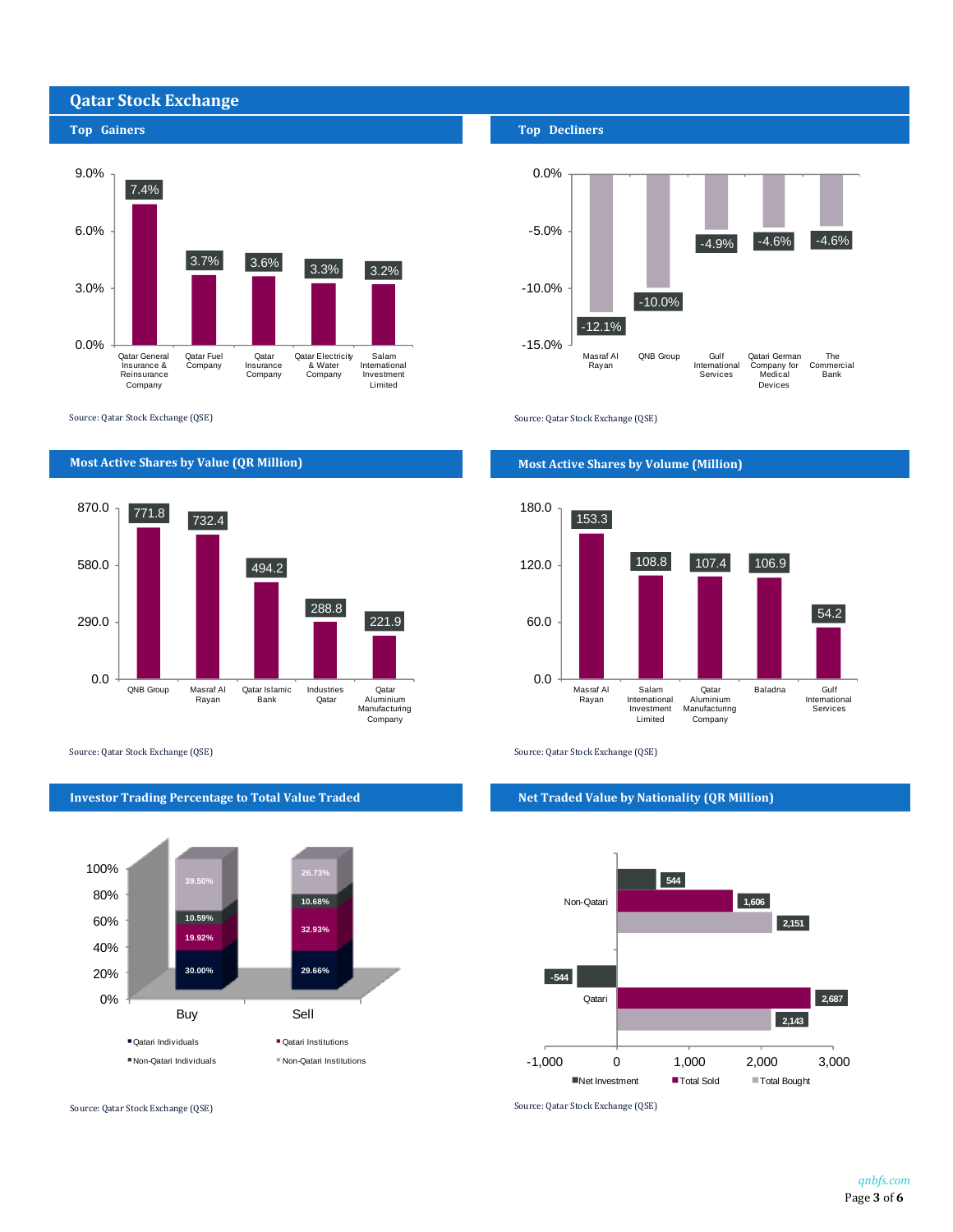## **Qatar Stock Exchange**



Source: Qatar Stock Exchange (QSE) Source: Qatar Stock Exchange (QSE)

## **Most Active Shares by Value (QR Million) Most Active Shares by Volume (Million)**



Source: Qatar Stock Exchange (QSE) Source: Qatar Stock Exchange (QSE)



### **Top Gainers Top Decliners**





#### **Investor Trading Percentage to Total Value Traded Net Traded Value by Nationality (QR Million)**



Source: Qatar Stock Exchange (QSE) Source: Qatar Stock Exchange (QSE)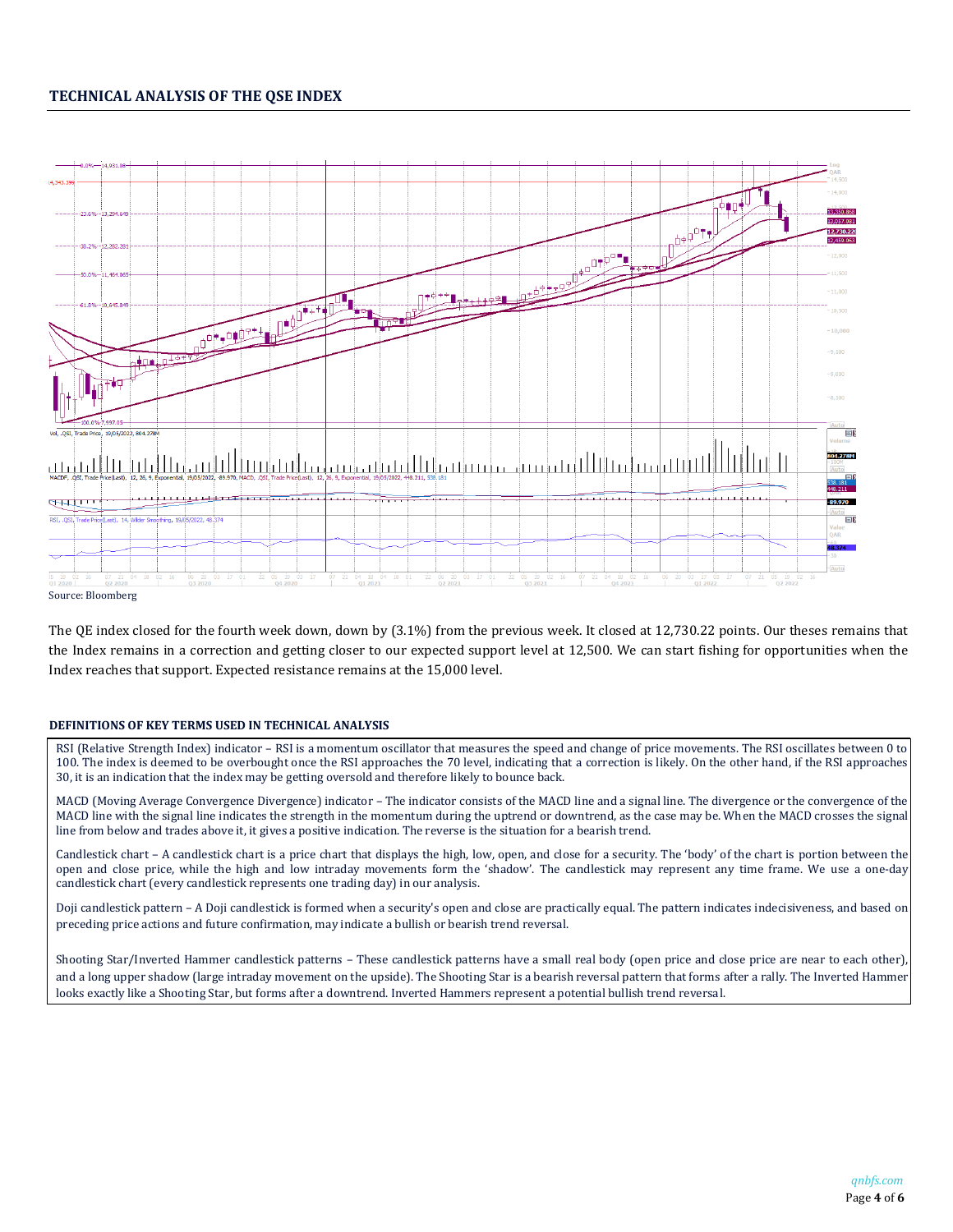## **TECHNICAL ANALYSIS OF THE QSE INDEX**



The QE index closed for the fourth week down, down by (3.1%) from the previous week. It closed at 12,730.22 points. Our theses remains that the Index remains in a correction and getting closer to our expected support level at 12,500. We can start fishing for opportunities when the Index reaches that support. Expected resistance remains at the 15,000 level.

### **DEFINITIONS OF KEY TERMS USED IN TECHNICAL ANALYSIS**

RSI (Relative Strength Index) indicator – RSI is a momentum oscillator that measures the speed and change of price movements. The RSI oscillates between 0 to 100. The index is deemed to be overbought once the RSI approaches the 70 level, indicating that a correction is likely. On the other hand, if the RSI approaches 30, it is an indication that the index may be getting oversold and therefore likely to bounce back.

MACD (Moving Average Convergence Divergence) indicator – The indicator consists of the MACD line and a signal line. The divergence or the convergence of the MACD line with the signal line indicates the strength in the momentum during the uptrend or downtrend, as the case may be. When the MACD crosses the signal line from below and trades above it, it gives a positive indication. The reverse is the situation for a bearish trend.

Candlestick chart – A candlestick chart is a price chart that displays the high, low, open, and close for a security. The 'body' of the chart is portion between the open and close price, while the high and low intraday movements form the 'shadow'. The candlestick may represent any time frame. We use a one-day candlestick chart (every candlestick represents one trading day) in our analysis.

Doji candlestick pattern – A Doji candlestick is formed when a security's open and close are practically equal. The pattern indicates indecisiveness, and based on preceding price actions and future confirmation, may indicate a bullish or bearish trend reversal.

Shooting Star/Inverted Hammer candlestick patterns – These candlestick patterns have a small real body (open price and close price are near to each other), and a long upper shadow (large intraday movement on the upside). The Shooting Star is a bearish reversal pattern that forms after a rally. The Inverted Hammer looks exactly like a Shooting Star, but forms after a downtrend. Inverted Hammers represent a potential bullish trend reversal.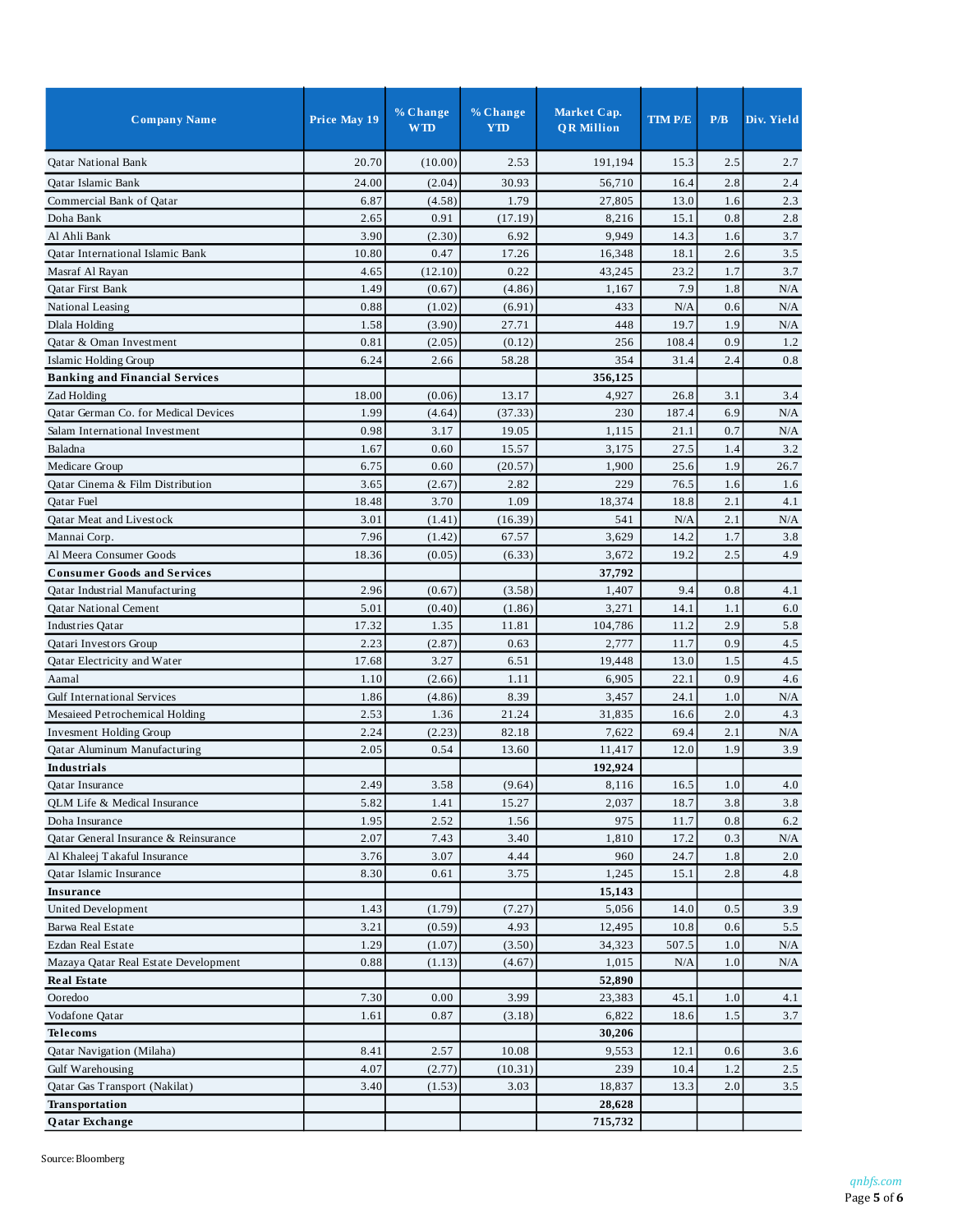| 20.70<br>(10.00)<br>191,194<br>Qatar National Bank<br>2.53<br>15.3<br>2.5<br>2.7<br>2.4<br>24.00<br>(2.04)<br>30.93<br>56,710<br>2.8<br>Qatar Islamic Bank<br>16.4<br>Commercial Bank of Qatar<br>6.87<br>(4.58)<br>1.79<br>27,805<br>13.0<br>1.6<br>2.3<br>0.8<br>2.65<br>0.91<br>2.8<br>Doha Bank<br>(17.19)<br>8,216<br>15.1<br>3.90<br>9,949<br>Al Ahli Bank<br>(2.30)<br>6.92<br>14.3<br>1.6<br>3.7<br>0.47<br>Qatar International Islamic Bank<br>10.80<br>17.26<br>16,348<br>18.1<br>2.6<br>3.5<br>4.65<br>1.7<br>3.7<br>(12.10)<br>0.22<br>43,245<br>23.2<br>Masraf Al Rayan<br>Qatar First Bank<br>1.49<br>(0.67)<br>(4.86)<br>1,167<br>7.9<br>1.8<br>N/A<br>0.88<br>(6.91)<br>433<br>N/A<br>0.6<br>National Leasing<br>(1.02)<br>N/A<br>1.9<br>Dlala Holding<br>1.58<br>(3.90)<br>27.71<br>448<br>19.7<br>N/A<br>Qatar & Oman Investment<br>0.81<br>(2.05)<br>(0.12)<br>256<br>108.4<br>0.9<br>1.2<br>6.24<br>58.28<br>354<br>31.4<br>2.4<br>0.8<br>Islamic Holding Group<br>2.66<br><b>Banking and Financial Services</b><br>356,125<br>18.00<br>13.17<br>4,927<br>26.8<br>3.1<br>3.4<br>Zad Holding<br>(0.06)<br>1.99<br>Qatar German Co. for Medical Devices<br>(4.64)<br>(37.33)<br>230<br>187.4<br>6.9<br>N/A<br>0.98<br>3.17<br>0.7<br>19.05<br>1,115<br>21.1<br>N/A<br>Salam International Investment<br>0.60<br>Baladna<br>1.67<br>15.57<br>3,175<br>27.5<br>1.4<br>3.2<br>Medicare Group<br>6.75<br>0.60<br>1,900<br>25.6<br>1.9<br>26.7<br>(20.57)<br>Qatar Cinema & Film Distribution<br>3.65<br>(2.67)<br>2.82<br>229<br>76.5<br>1.6<br>1.6<br>Qatar Fuel<br>18.48<br>3.70<br>1.09<br>18,374<br>18.8<br>2.1<br>4.1<br>Oatar Meat and Livestock<br>3.01<br>(1.41)<br>(16.39)<br>541<br>N/A<br>2.1<br>N/A<br>1.7<br>3.8<br>Mannai Corp.<br>7.96<br>(1.42)<br>67.57<br>3,629<br>14.2<br>Al Meera Consumer Goods<br>18.36<br>3,672<br>19.2<br>2.5<br>4.9<br>(0.05)<br>(6.33)<br><b>Consumer Goods and Services</b><br>37,792<br>2.96<br>(0.67)<br>(3.58)<br>1,407<br>9.4<br>0.8<br>Qatar Industrial Manufacturing<br>4.1<br>5.01<br>(0.40)<br>(1.86)<br>3,271<br>14.1<br>1.1<br>6.0<br>Qatar National Cement |
|--------------------------------------------------------------------------------------------------------------------------------------------------------------------------------------------------------------------------------------------------------------------------------------------------------------------------------------------------------------------------------------------------------------------------------------------------------------------------------------------------------------------------------------------------------------------------------------------------------------------------------------------------------------------------------------------------------------------------------------------------------------------------------------------------------------------------------------------------------------------------------------------------------------------------------------------------------------------------------------------------------------------------------------------------------------------------------------------------------------------------------------------------------------------------------------------------------------------------------------------------------------------------------------------------------------------------------------------------------------------------------------------------------------------------------------------------------------------------------------------------------------------------------------------------------------------------------------------------------------------------------------------------------------------------------------------------------------------------------------------------------------------------------------------------------------------------------------------------------------------------------------------------------------------------------------------------------------------------------------------------------------------------------------------------------------------------------------------------------------------------------|
|                                                                                                                                                                                                                                                                                                                                                                                                                                                                                                                                                                                                                                                                                                                                                                                                                                                                                                                                                                                                                                                                                                                                                                                                                                                                                                                                                                                                                                                                                                                                                                                                                                                                                                                                                                                                                                                                                                                                                                                                                                                                                                                                |
|                                                                                                                                                                                                                                                                                                                                                                                                                                                                                                                                                                                                                                                                                                                                                                                                                                                                                                                                                                                                                                                                                                                                                                                                                                                                                                                                                                                                                                                                                                                                                                                                                                                                                                                                                                                                                                                                                                                                                                                                                                                                                                                                |
|                                                                                                                                                                                                                                                                                                                                                                                                                                                                                                                                                                                                                                                                                                                                                                                                                                                                                                                                                                                                                                                                                                                                                                                                                                                                                                                                                                                                                                                                                                                                                                                                                                                                                                                                                                                                                                                                                                                                                                                                                                                                                                                                |
|                                                                                                                                                                                                                                                                                                                                                                                                                                                                                                                                                                                                                                                                                                                                                                                                                                                                                                                                                                                                                                                                                                                                                                                                                                                                                                                                                                                                                                                                                                                                                                                                                                                                                                                                                                                                                                                                                                                                                                                                                                                                                                                                |
|                                                                                                                                                                                                                                                                                                                                                                                                                                                                                                                                                                                                                                                                                                                                                                                                                                                                                                                                                                                                                                                                                                                                                                                                                                                                                                                                                                                                                                                                                                                                                                                                                                                                                                                                                                                                                                                                                                                                                                                                                                                                                                                                |
|                                                                                                                                                                                                                                                                                                                                                                                                                                                                                                                                                                                                                                                                                                                                                                                                                                                                                                                                                                                                                                                                                                                                                                                                                                                                                                                                                                                                                                                                                                                                                                                                                                                                                                                                                                                                                                                                                                                                                                                                                                                                                                                                |
|                                                                                                                                                                                                                                                                                                                                                                                                                                                                                                                                                                                                                                                                                                                                                                                                                                                                                                                                                                                                                                                                                                                                                                                                                                                                                                                                                                                                                                                                                                                                                                                                                                                                                                                                                                                                                                                                                                                                                                                                                                                                                                                                |
|                                                                                                                                                                                                                                                                                                                                                                                                                                                                                                                                                                                                                                                                                                                                                                                                                                                                                                                                                                                                                                                                                                                                                                                                                                                                                                                                                                                                                                                                                                                                                                                                                                                                                                                                                                                                                                                                                                                                                                                                                                                                                                                                |
|                                                                                                                                                                                                                                                                                                                                                                                                                                                                                                                                                                                                                                                                                                                                                                                                                                                                                                                                                                                                                                                                                                                                                                                                                                                                                                                                                                                                                                                                                                                                                                                                                                                                                                                                                                                                                                                                                                                                                                                                                                                                                                                                |
|                                                                                                                                                                                                                                                                                                                                                                                                                                                                                                                                                                                                                                                                                                                                                                                                                                                                                                                                                                                                                                                                                                                                                                                                                                                                                                                                                                                                                                                                                                                                                                                                                                                                                                                                                                                                                                                                                                                                                                                                                                                                                                                                |
|                                                                                                                                                                                                                                                                                                                                                                                                                                                                                                                                                                                                                                                                                                                                                                                                                                                                                                                                                                                                                                                                                                                                                                                                                                                                                                                                                                                                                                                                                                                                                                                                                                                                                                                                                                                                                                                                                                                                                                                                                                                                                                                                |
|                                                                                                                                                                                                                                                                                                                                                                                                                                                                                                                                                                                                                                                                                                                                                                                                                                                                                                                                                                                                                                                                                                                                                                                                                                                                                                                                                                                                                                                                                                                                                                                                                                                                                                                                                                                                                                                                                                                                                                                                                                                                                                                                |
|                                                                                                                                                                                                                                                                                                                                                                                                                                                                                                                                                                                                                                                                                                                                                                                                                                                                                                                                                                                                                                                                                                                                                                                                                                                                                                                                                                                                                                                                                                                                                                                                                                                                                                                                                                                                                                                                                                                                                                                                                                                                                                                                |
|                                                                                                                                                                                                                                                                                                                                                                                                                                                                                                                                                                                                                                                                                                                                                                                                                                                                                                                                                                                                                                                                                                                                                                                                                                                                                                                                                                                                                                                                                                                                                                                                                                                                                                                                                                                                                                                                                                                                                                                                                                                                                                                                |
|                                                                                                                                                                                                                                                                                                                                                                                                                                                                                                                                                                                                                                                                                                                                                                                                                                                                                                                                                                                                                                                                                                                                                                                                                                                                                                                                                                                                                                                                                                                                                                                                                                                                                                                                                                                                                                                                                                                                                                                                                                                                                                                                |
|                                                                                                                                                                                                                                                                                                                                                                                                                                                                                                                                                                                                                                                                                                                                                                                                                                                                                                                                                                                                                                                                                                                                                                                                                                                                                                                                                                                                                                                                                                                                                                                                                                                                                                                                                                                                                                                                                                                                                                                                                                                                                                                                |
|                                                                                                                                                                                                                                                                                                                                                                                                                                                                                                                                                                                                                                                                                                                                                                                                                                                                                                                                                                                                                                                                                                                                                                                                                                                                                                                                                                                                                                                                                                                                                                                                                                                                                                                                                                                                                                                                                                                                                                                                                                                                                                                                |
|                                                                                                                                                                                                                                                                                                                                                                                                                                                                                                                                                                                                                                                                                                                                                                                                                                                                                                                                                                                                                                                                                                                                                                                                                                                                                                                                                                                                                                                                                                                                                                                                                                                                                                                                                                                                                                                                                                                                                                                                                                                                                                                                |
|                                                                                                                                                                                                                                                                                                                                                                                                                                                                                                                                                                                                                                                                                                                                                                                                                                                                                                                                                                                                                                                                                                                                                                                                                                                                                                                                                                                                                                                                                                                                                                                                                                                                                                                                                                                                                                                                                                                                                                                                                                                                                                                                |
|                                                                                                                                                                                                                                                                                                                                                                                                                                                                                                                                                                                                                                                                                                                                                                                                                                                                                                                                                                                                                                                                                                                                                                                                                                                                                                                                                                                                                                                                                                                                                                                                                                                                                                                                                                                                                                                                                                                                                                                                                                                                                                                                |
|                                                                                                                                                                                                                                                                                                                                                                                                                                                                                                                                                                                                                                                                                                                                                                                                                                                                                                                                                                                                                                                                                                                                                                                                                                                                                                                                                                                                                                                                                                                                                                                                                                                                                                                                                                                                                                                                                                                                                                                                                                                                                                                                |
|                                                                                                                                                                                                                                                                                                                                                                                                                                                                                                                                                                                                                                                                                                                                                                                                                                                                                                                                                                                                                                                                                                                                                                                                                                                                                                                                                                                                                                                                                                                                                                                                                                                                                                                                                                                                                                                                                                                                                                                                                                                                                                                                |
|                                                                                                                                                                                                                                                                                                                                                                                                                                                                                                                                                                                                                                                                                                                                                                                                                                                                                                                                                                                                                                                                                                                                                                                                                                                                                                                                                                                                                                                                                                                                                                                                                                                                                                                                                                                                                                                                                                                                                                                                                                                                                                                                |
|                                                                                                                                                                                                                                                                                                                                                                                                                                                                                                                                                                                                                                                                                                                                                                                                                                                                                                                                                                                                                                                                                                                                                                                                                                                                                                                                                                                                                                                                                                                                                                                                                                                                                                                                                                                                                                                                                                                                                                                                                                                                                                                                |
|                                                                                                                                                                                                                                                                                                                                                                                                                                                                                                                                                                                                                                                                                                                                                                                                                                                                                                                                                                                                                                                                                                                                                                                                                                                                                                                                                                                                                                                                                                                                                                                                                                                                                                                                                                                                                                                                                                                                                                                                                                                                                                                                |
|                                                                                                                                                                                                                                                                                                                                                                                                                                                                                                                                                                                                                                                                                                                                                                                                                                                                                                                                                                                                                                                                                                                                                                                                                                                                                                                                                                                                                                                                                                                                                                                                                                                                                                                                                                                                                                                                                                                                                                                                                                                                                                                                |
| 2.9<br>17.32<br>1.35<br>11.81<br>104,786<br>11.2<br>5.8<br>Industries Qatar                                                                                                                                                                                                                                                                                                                                                                                                                                                                                                                                                                                                                                                                                                                                                                                                                                                                                                                                                                                                                                                                                                                                                                                                                                                                                                                                                                                                                                                                                                                                                                                                                                                                                                                                                                                                                                                                                                                                                                                                                                                    |
| 0.9<br>2.23<br>(2.87)<br>0.63<br>2,777<br>11.7<br>4.5<br>Qatari Investors Group                                                                                                                                                                                                                                                                                                                                                                                                                                                                                                                                                                                                                                                                                                                                                                                                                                                                                                                                                                                                                                                                                                                                                                                                                                                                                                                                                                                                                                                                                                                                                                                                                                                                                                                                                                                                                                                                                                                                                                                                                                                |
| 3.27<br>1.5<br>Qatar Electricity and Water<br>17.68<br>6.51<br>19,448<br>13.0<br>4.5                                                                                                                                                                                                                                                                                                                                                                                                                                                                                                                                                                                                                                                                                                                                                                                                                                                                                                                                                                                                                                                                                                                                                                                                                                                                                                                                                                                                                                                                                                                                                                                                                                                                                                                                                                                                                                                                                                                                                                                                                                           |
| 1.10<br>(2.66)<br>1.11<br>6,905<br>22.1<br>0.9<br>4.6<br>Aamal                                                                                                                                                                                                                                                                                                                                                                                                                                                                                                                                                                                                                                                                                                                                                                                                                                                                                                                                                                                                                                                                                                                                                                                                                                                                                                                                                                                                                                                                                                                                                                                                                                                                                                                                                                                                                                                                                                                                                                                                                                                                 |
| <b>Gulf International Services</b><br>1.86<br>(4.86)<br>8.39<br>3,457<br>24.1<br>1.0<br>N/A                                                                                                                                                                                                                                                                                                                                                                                                                                                                                                                                                                                                                                                                                                                                                                                                                                                                                                                                                                                                                                                                                                                                                                                                                                                                                                                                                                                                                                                                                                                                                                                                                                                                                                                                                                                                                                                                                                                                                                                                                                    |
| 2.53<br>1.36<br>21.24<br>31,835<br>2.0<br>4.3<br>Mesaieed Petrochemical Holding<br>16.6                                                                                                                                                                                                                                                                                                                                                                                                                                                                                                                                                                                                                                                                                                                                                                                                                                                                                                                                                                                                                                                                                                                                                                                                                                                                                                                                                                                                                                                                                                                                                                                                                                                                                                                                                                                                                                                                                                                                                                                                                                        |
| 2.24<br>(2.23)<br>82.18<br>7,622<br>69.4<br>2.1<br><b>Invesment Holding Group</b><br>N/A                                                                                                                                                                                                                                                                                                                                                                                                                                                                                                                                                                                                                                                                                                                                                                                                                                                                                                                                                                                                                                                                                                                                                                                                                                                                                                                                                                                                                                                                                                                                                                                                                                                                                                                                                                                                                                                                                                                                                                                                                                       |
| 0.54<br>1.9<br>2.05<br>13.60<br>12.0<br>3.9<br>Qatar Aluminum Manufacturing<br>11,417                                                                                                                                                                                                                                                                                                                                                                                                                                                                                                                                                                                                                                                                                                                                                                                                                                                                                                                                                                                                                                                                                                                                                                                                                                                                                                                                                                                                                                                                                                                                                                                                                                                                                                                                                                                                                                                                                                                                                                                                                                          |
| 192,924<br>Industrials                                                                                                                                                                                                                                                                                                                                                                                                                                                                                                                                                                                                                                                                                                                                                                                                                                                                                                                                                                                                                                                                                                                                                                                                                                                                                                                                                                                                                                                                                                                                                                                                                                                                                                                                                                                                                                                                                                                                                                                                                                                                                                         |
| 2.49<br>8,116<br>16.5<br>3.58<br>(9.64)<br>$1.0\,$<br>$4.0\,$<br>Qatar Insurance                                                                                                                                                                                                                                                                                                                                                                                                                                                                                                                                                                                                                                                                                                                                                                                                                                                                                                                                                                                                                                                                                                                                                                                                                                                                                                                                                                                                                                                                                                                                                                                                                                                                                                                                                                                                                                                                                                                                                                                                                                               |
| QLM Life & Medical Insurance<br>5.82<br>1.41<br>15.27<br>2,037<br>18.7<br>3.8<br>3.8                                                                                                                                                                                                                                                                                                                                                                                                                                                                                                                                                                                                                                                                                                                                                                                                                                                                                                                                                                                                                                                                                                                                                                                                                                                                                                                                                                                                                                                                                                                                                                                                                                                                                                                                                                                                                                                                                                                                                                                                                                           |
| 975<br>Doha Insurance<br>1.95<br>2.52<br>1.56<br>0.8<br>6.2<br>11.7                                                                                                                                                                                                                                                                                                                                                                                                                                                                                                                                                                                                                                                                                                                                                                                                                                                                                                                                                                                                                                                                                                                                                                                                                                                                                                                                                                                                                                                                                                                                                                                                                                                                                                                                                                                                                                                                                                                                                                                                                                                            |
| Qatar General Insurance & Reinsurance<br>2.07<br>7.43<br>3.40<br>17.2<br>0.3<br>N/A<br>1,810                                                                                                                                                                                                                                                                                                                                                                                                                                                                                                                                                                                                                                                                                                                                                                                                                                                                                                                                                                                                                                                                                                                                                                                                                                                                                                                                                                                                                                                                                                                                                                                                                                                                                                                                                                                                                                                                                                                                                                                                                                   |
| 3.07<br>4.44<br>1.8<br>Al Khaleej Takaful Insurance<br>3.76<br>960<br>24.7<br>2.0                                                                                                                                                                                                                                                                                                                                                                                                                                                                                                                                                                                                                                                                                                                                                                                                                                                                                                                                                                                                                                                                                                                                                                                                                                                                                                                                                                                                                                                                                                                                                                                                                                                                                                                                                                                                                                                                                                                                                                                                                                              |
| 8.30<br>4.8<br>Oatar Islamic Insurance<br>0.61<br>3.75<br>1,245<br>15.1<br>2.8                                                                                                                                                                                                                                                                                                                                                                                                                                                                                                                                                                                                                                                                                                                                                                                                                                                                                                                                                                                                                                                                                                                                                                                                                                                                                                                                                                                                                                                                                                                                                                                                                                                                                                                                                                                                                                                                                                                                                                                                                                                 |
| <b>Insurance</b><br>15,143                                                                                                                                                                                                                                                                                                                                                                                                                                                                                                                                                                                                                                                                                                                                                                                                                                                                                                                                                                                                                                                                                                                                                                                                                                                                                                                                                                                                                                                                                                                                                                                                                                                                                                                                                                                                                                                                                                                                                                                                                                                                                                     |
| <b>United Development</b><br>1.43<br>(1.79)<br>5,056<br>14.0<br>0.5<br>3.9<br>(7.27)                                                                                                                                                                                                                                                                                                                                                                                                                                                                                                                                                                                                                                                                                                                                                                                                                                                                                                                                                                                                                                                                                                                                                                                                                                                                                                                                                                                                                                                                                                                                                                                                                                                                                                                                                                                                                                                                                                                                                                                                                                           |
| (0.59)<br>Barwa Real Estate<br>3.21<br>4.93<br>12,495<br>10.8<br>0.6<br>5.5                                                                                                                                                                                                                                                                                                                                                                                                                                                                                                                                                                                                                                                                                                                                                                                                                                                                                                                                                                                                                                                                                                                                                                                                                                                                                                                                                                                                                                                                                                                                                                                                                                                                                                                                                                                                                                                                                                                                                                                                                                                    |
| 1.29<br>(1.07)<br>1.0<br>Ezdan Real Estate<br>(3.50)<br>34,323<br>507.5<br>N/A                                                                                                                                                                                                                                                                                                                                                                                                                                                                                                                                                                                                                                                                                                                                                                                                                                                                                                                                                                                                                                                                                                                                                                                                                                                                                                                                                                                                                                                                                                                                                                                                                                                                                                                                                                                                                                                                                                                                                                                                                                                 |
| 0.88<br>Mazaya Qatar Real Estate Development<br>(1.13)<br>(4.67)<br>1,015<br>N/A<br>1.0<br>N/A                                                                                                                                                                                                                                                                                                                                                                                                                                                                                                                                                                                                                                                                                                                                                                                                                                                                                                                                                                                                                                                                                                                                                                                                                                                                                                                                                                                                                                                                                                                                                                                                                                                                                                                                                                                                                                                                                                                                                                                                                                 |
| 52,890<br><b>Real Estate</b>                                                                                                                                                                                                                                                                                                                                                                                                                                                                                                                                                                                                                                                                                                                                                                                                                                                                                                                                                                                                                                                                                                                                                                                                                                                                                                                                                                                                                                                                                                                                                                                                                                                                                                                                                                                                                                                                                                                                                                                                                                                                                                   |
| 7.30<br>0.00<br>1.0<br>3.99<br>23,383<br>45.1<br>Ooredoo<br>4.1                                                                                                                                                                                                                                                                                                                                                                                                                                                                                                                                                                                                                                                                                                                                                                                                                                                                                                                                                                                                                                                                                                                                                                                                                                                                                                                                                                                                                                                                                                                                                                                                                                                                                                                                                                                                                                                                                                                                                                                                                                                                |
| 6,822<br>1.5<br>Vodafone Qatar<br>1.61<br>0.87<br>(3.18)<br>3.7<br>18.6                                                                                                                                                                                                                                                                                                                                                                                                                                                                                                                                                                                                                                                                                                                                                                                                                                                                                                                                                                                                                                                                                                                                                                                                                                                                                                                                                                                                                                                                                                                                                                                                                                                                                                                                                                                                                                                                                                                                                                                                                                                        |
| 30,206<br><b>Telecoms</b>                                                                                                                                                                                                                                                                                                                                                                                                                                                                                                                                                                                                                                                                                                                                                                                                                                                                                                                                                                                                                                                                                                                                                                                                                                                                                                                                                                                                                                                                                                                                                                                                                                                                                                                                                                                                                                                                                                                                                                                                                                                                                                      |
| Qatar Navigation (Milaha)<br>8.41<br>2.57<br>10.08<br>9,553<br>12.1<br>0.6<br>3.6                                                                                                                                                                                                                                                                                                                                                                                                                                                                                                                                                                                                                                                                                                                                                                                                                                                                                                                                                                                                                                                                                                                                                                                                                                                                                                                                                                                                                                                                                                                                                                                                                                                                                                                                                                                                                                                                                                                                                                                                                                              |
| Gulf Warehousing<br>4.07<br>(2.77)<br>(10.31)<br>239<br>10.4<br>1.2<br>2.5                                                                                                                                                                                                                                                                                                                                                                                                                                                                                                                                                                                                                                                                                                                                                                                                                                                                                                                                                                                                                                                                                                                                                                                                                                                                                                                                                                                                                                                                                                                                                                                                                                                                                                                                                                                                                                                                                                                                                                                                                                                     |
| Qatar Gas Transport (Nakilat)<br>3.40<br>18,837<br>2.0<br>(1.53)<br>3.03<br>13.3<br>3.5                                                                                                                                                                                                                                                                                                                                                                                                                                                                                                                                                                                                                                                                                                                                                                                                                                                                                                                                                                                                                                                                                                                                                                                                                                                                                                                                                                                                                                                                                                                                                                                                                                                                                                                                                                                                                                                                                                                                                                                                                                        |
| Transportation<br>28,628                                                                                                                                                                                                                                                                                                                                                                                                                                                                                                                                                                                                                                                                                                                                                                                                                                                                                                                                                                                                                                                                                                                                                                                                                                                                                                                                                                                                                                                                                                                                                                                                                                                                                                                                                                                                                                                                                                                                                                                                                                                                                                       |
| 715,732<br>Qatar Exchange                                                                                                                                                                                                                                                                                                                                                                                                                                                                                                                                                                                                                                                                                                                                                                                                                                                                                                                                                                                                                                                                                                                                                                                                                                                                                                                                                                                                                                                                                                                                                                                                                                                                                                                                                                                                                                                                                                                                                                                                                                                                                                      |